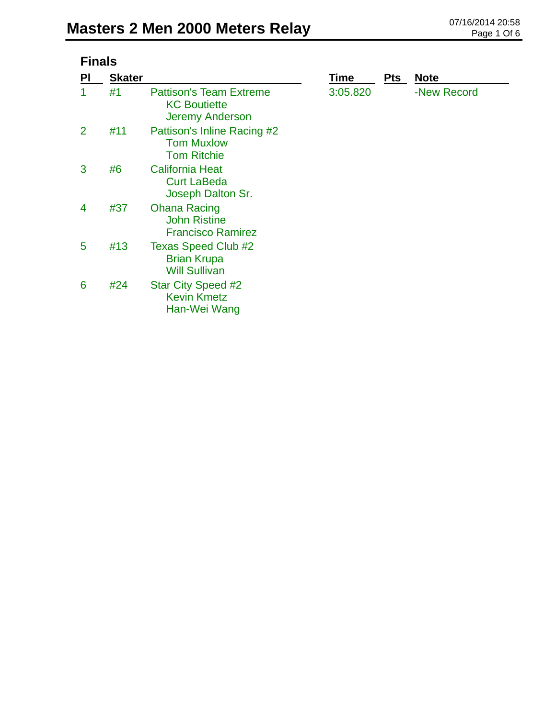| <b>inals</b> |
|--------------|
|--------------|

| PI             | <b>Skater</b> |                                                                                 | Time     | <b>Pts</b> | <b>Note</b> |
|----------------|---------------|---------------------------------------------------------------------------------|----------|------------|-------------|
|                | #1            | <b>Pattison's Team Extreme</b><br><b>KC Boutiette</b><br><b>Jeremy Anderson</b> | 3:05.820 |            | -New Record |
| $\overline{2}$ | #11           | Pattison's Inline Racing #2<br><b>Tom Muxlow</b><br><b>Tom Ritchie</b>          |          |            |             |
| 3              | #6            | <b>California Heat</b><br><b>Curt LaBeda</b><br>Joseph Dalton Sr.               |          |            |             |
| 4              | #37           | <b>Ohana Racing</b><br><b>John Ristine</b><br><b>Francisco Ramirez</b>          |          |            |             |
| 5              | #13           | <b>Texas Speed Club #2</b><br><b>Brian Krupa</b><br><b>Will Sullivan</b>        |          |            |             |
| 6              | #24           | <b>Star City Speed #2</b><br><b>Kevin Kmetz</b><br>Han-Wei Wang                 |          |            |             |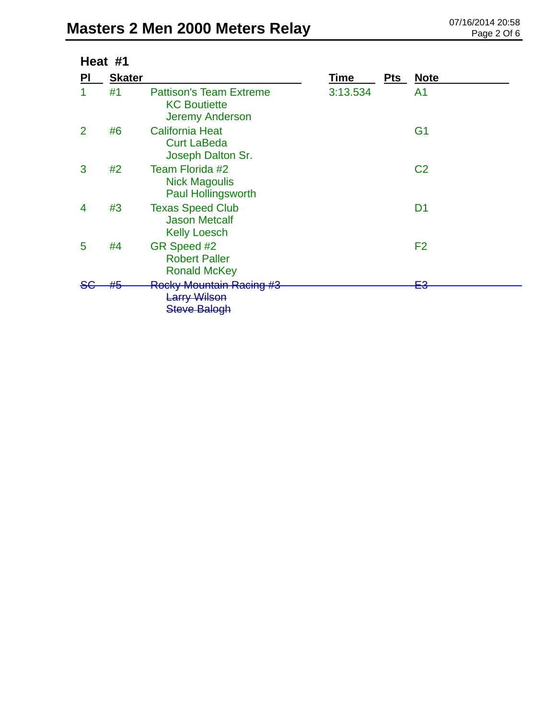| Heat #1 |               |                                                                                 |          |            |                 |  |
|---------|---------------|---------------------------------------------------------------------------------|----------|------------|-----------------|--|
| ΡI      | <b>Skater</b> |                                                                                 | Time     | <b>Pts</b> | <b>Note</b>     |  |
|         | #1            | <b>Pattison's Team Extreme</b><br><b>KC Boutiette</b><br><b>Jeremy Anderson</b> | 3:13.534 |            | A1              |  |
| 2       | #6            | <b>California Heat</b><br><b>Curt LaBeda</b><br>Joseph Dalton Sr.               |          |            | G <sub>1</sub>  |  |
| 3       | #2            | Team Florida #2<br><b>Nick Magoulis</b><br><b>Paul Hollingsworth</b>            |          |            | C <sub>2</sub>  |  |
| 4       | #3            | <b>Texas Speed Club</b><br><b>Jason Metcalf</b><br><b>Kelly Loesch</b>          |          |            | D <sub>1</sub>  |  |
| 5       | #4            | GR Speed #2<br><b>Robert Paller</b><br><b>Ronald McKey</b>                      |          |            | F <sub>2</sub>  |  |
|         | <b>TIME</b>   | <b>Rocky Mountain Racing #3</b><br><b>Larry Wilson</b><br>Steve Balogh          |          |            | פ⊐<br><u>ra</u> |  |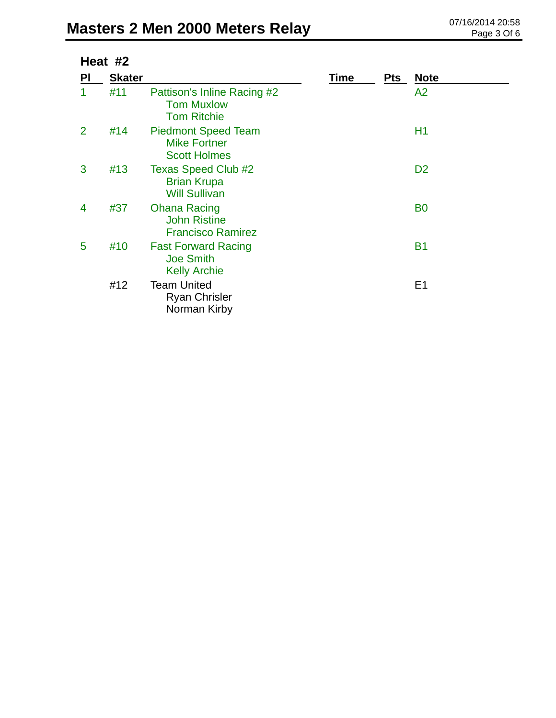## **Masters 2 Men 2000 Meters Relay** 07/16/2014 20:58

| Heat #2        |               |                                                                          |             |            |                |
|----------------|---------------|--------------------------------------------------------------------------|-------------|------------|----------------|
| PI             | <b>Skater</b> |                                                                          | <b>Time</b> | <b>Pts</b> | <b>Note</b>    |
| 1              | #11           | Pattison's Inline Racing #2<br><b>Tom Muxlow</b><br><b>Tom Ritchie</b>   |             |            | A2             |
| $\overline{2}$ | #14           | <b>Piedmont Speed Team</b><br><b>Mike Fortner</b><br><b>Scott Holmes</b> |             |            | H1             |
| 3              | #13           | <b>Texas Speed Club #2</b><br><b>Brian Krupa</b><br><b>Will Sullivan</b> |             |            | D <sub>2</sub> |
| 4              | #37           | <b>Ohana Racing</b><br><b>John Ristine</b><br><b>Francisco Ramirez</b>   |             |            | B <sub>0</sub> |
| 5              | #10           | <b>Fast Forward Racing</b><br><b>Joe Smith</b><br><b>Kelly Archie</b>    |             |            | <b>B1</b>      |
|                | #12           | <b>Team United</b><br><b>Ryan Chrisler</b><br>Norman Kirby               |             |            | E <sub>1</sub> |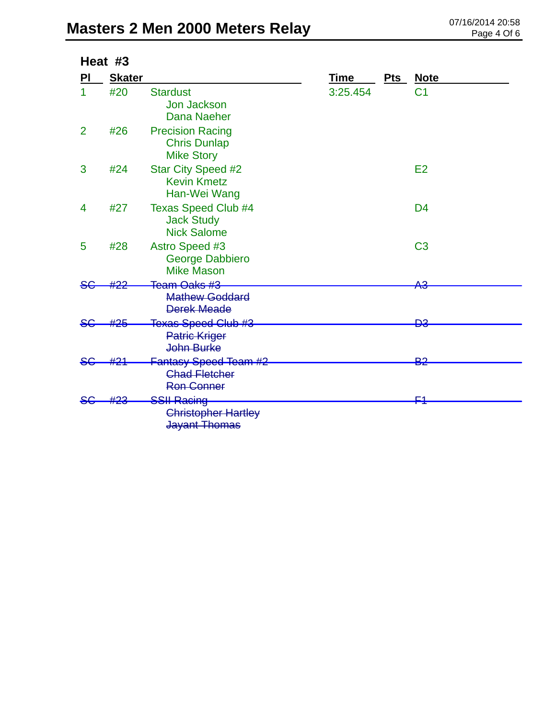| Heat #3        |               |                                                                           |             |     |                |
|----------------|---------------|---------------------------------------------------------------------------|-------------|-----|----------------|
| PI             | <b>Skater</b> |                                                                           | <b>Time</b> | Pts | <b>Note</b>    |
| 1              | #20           | <b>Stardust</b><br><b>Jon Jackson</b><br>Dana Naeher                      | 3:25.454    |     | C <sub>1</sub> |
| $\overline{2}$ | #26           | <b>Precision Racing</b><br><b>Chris Dunlap</b><br><b>Mike Story</b>       |             |     |                |
| 3              | #24           | <b>Star City Speed #2</b><br><b>Kevin Kmetz</b><br>Han-Wei Wang           |             |     | E2             |
| 4              | #27           | <b>Texas Speed Club #4</b><br><b>Jack Study</b><br><b>Nick Salome</b>     |             |     | D <sub>4</sub> |
| 5              | #28           | Astro Speed #3<br><b>George Dabbiero</b><br><b>Mike Mason</b>             |             |     | C <sub>3</sub> |
|                |               | Team Oaks #3                                                              |             |     | АЗ             |
|                |               | <b>Mathew Goddard</b><br><b>Derek Meade</b>                               |             |     |                |
|                |               | Texas Speed Club #3                                                       |             |     | ÐЗ             |
|                |               | <b>Patric Kriger</b><br>John Burke                                        |             |     |                |
| <del>SC</del>  | #21           | <b>Fantasy Speed Team #2</b><br><b>Chad Fletcher</b><br><b>Ron Conner</b> |             |     | <b>B2</b>      |
|                |               | <b>SSII Racing</b><br><b>Christopher Hartley</b><br>Jayant Thomas         |             |     | C4             |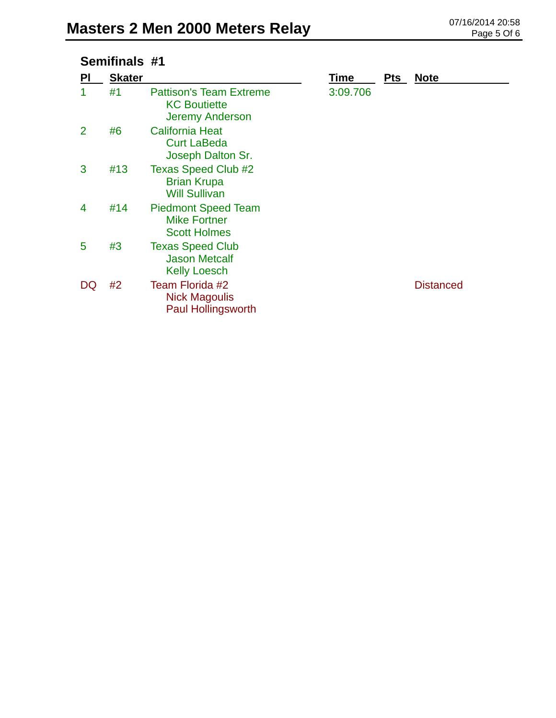## **Semifinals #1**

| PI             | <b>Skater</b> |                                                                                 | Time     | <b>Pts</b> | <b>Note</b>      |
|----------------|---------------|---------------------------------------------------------------------------------|----------|------------|------------------|
|                | #1            | <b>Pattison's Team Extreme</b><br><b>KC Boutiette</b><br><b>Jeremy Anderson</b> | 3:09.706 |            |                  |
| $\overline{2}$ | #6            | <b>California Heat</b><br><b>Curt LaBeda</b><br>Joseph Dalton Sr.               |          |            |                  |
| 3              | #13           | <b>Texas Speed Club #2</b><br><b>Brian Krupa</b><br><b>Will Sullivan</b>        |          |            |                  |
| 4              | #14           | <b>Piedmont Speed Team</b><br><b>Mike Fortner</b><br><b>Scott Holmes</b>        |          |            |                  |
| 5              | #3            | <b>Texas Speed Club</b><br><b>Jason Metcalf</b><br><b>Kelly Loesch</b>          |          |            |                  |
| DQ             | #2            | Team Florida #2<br><b>Nick Magoulis</b><br><b>Paul Hollingsworth</b>            |          |            | <b>Distanced</b> |